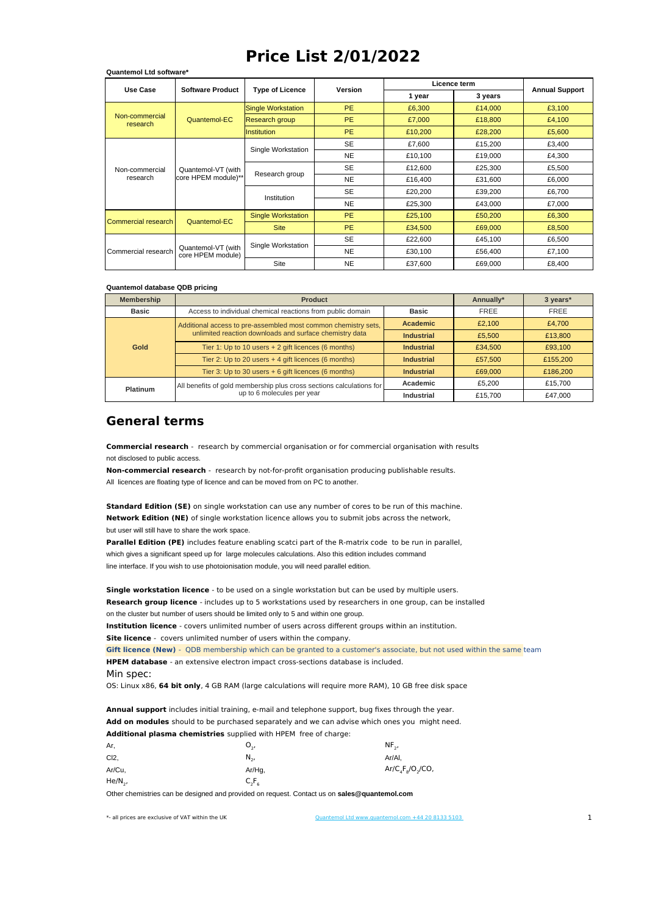## **Price List 2/01/2022**

| Use Case                   | <b>Software Product</b>                   | <b>Type of Licence</b>    | <b>Version</b> | Licence term |         |                       |
|----------------------------|-------------------------------------------|---------------------------|----------------|--------------|---------|-----------------------|
|                            |                                           |                           |                | 1 year       | 3 years | <b>Annual Support</b> |
| Non-commercial<br>research | Quantemol-EC                              | Single Workstation        | <b>PE</b>      | £6,300       | £14,000 | £3,100                |
|                            |                                           | Research group            | <b>PE</b>      | £7,000       | £18,800 | £4,100                |
|                            |                                           | <b>Institution</b>        | <b>PE</b>      | £10,200      | £28,200 | £5,600                |
|                            | Quantemol-VT (with<br>core HPEM module)** | Single Workstation        | <b>SE</b>      | £7,600       | £15,200 | £3,400                |
| Non-commercial<br>research |                                           |                           | <b>NE</b>      | £10,100      | £19,000 | £4,300                |
|                            |                                           | Research group            | <b>SE</b>      | £12,600      | £25,300 | £5,500                |
|                            |                                           |                           | <b>NE</b>      | £16,400      | £31,600 | £6,000                |
|                            |                                           | Institution               | <b>SE</b>      | £20,200      | £39,200 | £6,700                |
|                            |                                           |                           | <b>NE</b>      | £25,300      | £43,000 | £7,000                |
| Commercial research        | Quantemol-EC                              | <b>Single Workstation</b> | <b>PE</b>      | £25,100      | £50,200 | £6,300                |
|                            |                                           | <b>Site</b>               | <b>PE</b>      | £34,500      | £69,000 | £8,500                |
| Commercial research        | Quantemol-VT (with<br>core HPEM module)   | Single Workstation        | <b>SE</b>      | £22,600      | £45,100 | £6,500                |
|                            |                                           |                           | <b>NE</b>      | £30,100      | £56,400 | £7,100                |
|                            |                                           | <b>Site</b>               | <b>NE</b>      | £37.600      | £69.000 | £8,400                |

## **Quantemol database QDB pricing**

**Quantemol Ltd software\***

| <b>Membership</b> | <b>Product</b>                                                       | Annually*         | 3 years*    |          |
|-------------------|----------------------------------------------------------------------|-------------------|-------------|----------|
| Basic             | Access to individual chemical reactions from public domain           | <b>Basic</b>      | <b>FREE</b> | FREE     |
| Gold              | Additional access to pre-assembled most common chemistry sets,       | <b>Academic</b>   | £2.100      | £4,700   |
|                   | unlimited reaction downloads and surface chemistry data              | <b>Industrial</b> | £5,500      | £13,800  |
|                   | Tier 1: Up to 10 users + 2 gift licences (6 months)                  | <b>Industrial</b> | £34,500     | £93,100  |
|                   | Tier 2: Up to 20 users + 4 gift licences (6 months)                  | <b>Industrial</b> | £57,500     | £155,200 |
|                   | Tier 3: Up to 30 users + 6 gift licences (6 months)                  | <b>Industrial</b> | £69,000     | £186,200 |
| Platinum          | All benefits of gold membership plus cross sections calculations for | Academic          | £5.200      | £15.700  |
|                   | up to 6 molecules per year                                           | <b>Industrial</b> | £15,700     | £47.000  |

## **General terms**

not disclosed to public access. **Commercial research** - research by commercial organisation or for commercial organisation with results

All licences are floating type of licence and can be moved from on PC to another. **Non-commercial research** - research by not-for-profit organisation producing publishable results.

but user will still have to share the work space. **Standard Edition (SE)** on single workstation can use any number of cores to be run of this machine. **Network Edition (NE)** of single workstation licence allows you to submit jobs across the network,

which gives a significant speed up for large molecules calculations. Also this edition includes command line interface. If you wish to use photoionisation module, you will need parallel edition. **Parallel Edition (PE)** includes feature enabling scatci part of the R-matrix code to be run in parallel,

on the cluster but number of users should be limited only to 5 and within one group. **Single workstation licence** - to be used on a single workstation but can be used by multiple users. **Research group licence** - includes up to 5 workstations used by researchers in one group, can be installed

**Institution licence** - covers unlimited number of users across different groups within an institution.

**Site licence** - covers unlimited number of users within the company.

**Gift licence (New)** - QDB membership which can be granted to a customer's associate, but not used within the same team **HPEM database** - an extensive electron impact cross-sections database is included.

Min spec:

OS: Linux x86, **64 bit only**, 4 GB RAM (large calculations will require more RAM), 10 GB free disk space

**Annual support** includes initial training, e-mail and telephone support, bug fixes through the year. **Add on modules** should to be purchased separately and we can advise which ones you might need. **Additional plasma chemistries** supplied with HPEM free of charge:

| Ar,          | υ.,            | $NF_{2}$           |
|--------------|----------------|--------------------|
| $Cl2$ ,      | N <sub>2</sub> | Ar/Al.             |
| Ar/Cu,       | Ar/Hg,         | $Ar/C_4F_8/O_2/CO$ |
| $He/N_{2}$ , | $C_2F_6$       |                    |

Other chemistries can be designed and provided on request. Contact us on **sales@quantemol.com**